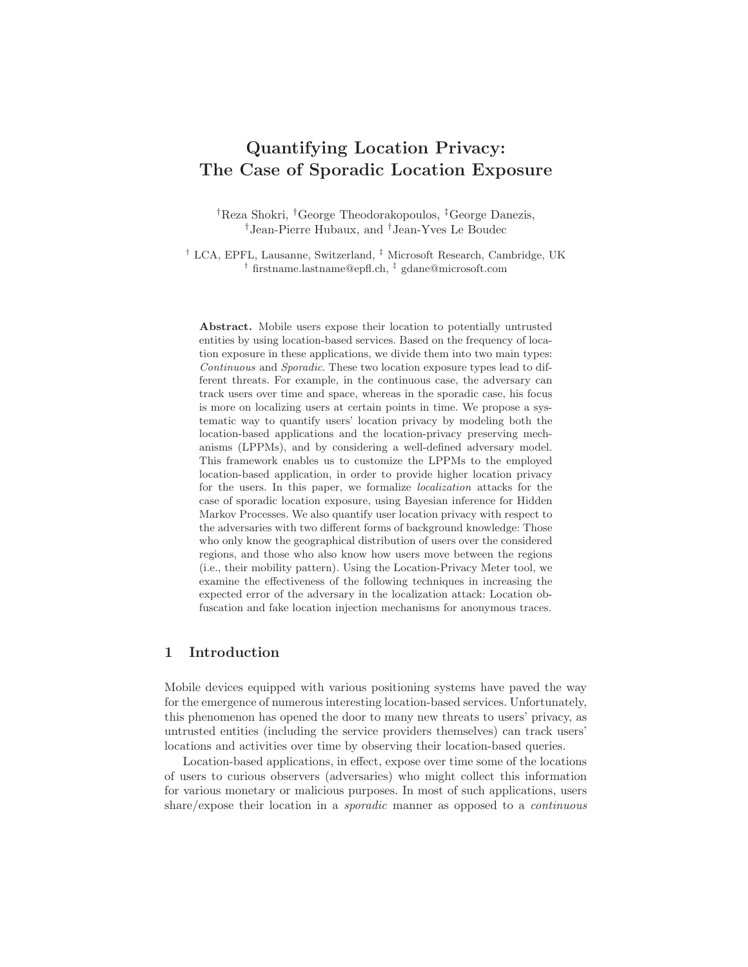# Quantifying Location Privacy: The Case of Sporadic Location Exposure

†Reza Shokri, †George Theodorakopoulos, ‡George Danezis, †Jean-Pierre Hubaux, and †Jean-Yves Le Boudec

† LCA, EPFL, Lausanne, Switzerland, ‡ Microsoft Research, Cambridge, UK † firstname.lastname@epfl.ch, ‡ gdane@microsoft.com

Abstract. Mobile users expose their location to potentially untrusted entities by using location-based services. Based on the frequency of location exposure in these applications, we divide them into two main types: Continuous and Sporadic. These two location exposure types lead to different threats. For example, in the continuous case, the adversary can track users over time and space, whereas in the sporadic case, his focus is more on localizing users at certain points in time. We propose a systematic way to quantify users' location privacy by modeling both the location-based applications and the location-privacy preserving mechanisms (LPPMs), and by considering a well-defined adversary model. This framework enables us to customize the LPPMs to the employed location-based application, in order to provide higher location privacy for the users. In this paper, we formalize localization attacks for the case of sporadic location exposure, using Bayesian inference for Hidden Markov Processes. We also quantify user location privacy with respect to the adversaries with two different forms of background knowledge: Those who only know the geographical distribution of users over the considered regions, and those who also know how users move between the regions (i.e., their mobility pattern). Using the Location-Privacy Meter tool, we examine the effectiveness of the following techniques in increasing the expected error of the adversary in the localization attack: Location obfuscation and fake location injection mechanisms for anonymous traces.

## 1 Introduction

Mobile devices equipped with various positioning systems have paved the way for the emergence of numerous interesting location-based services. Unfortunately, this phenomenon has opened the door to many new threats to users' privacy, as untrusted entities (including the service providers themselves) can track users' locations and activities over time by observing their location-based queries.

Location-based applications, in effect, expose over time some of the locations of users to curious observers (adversaries) who might collect this information for various monetary or malicious purposes. In most of such applications, users share/expose their location in a *sporadic* manner as opposed to a *continuous*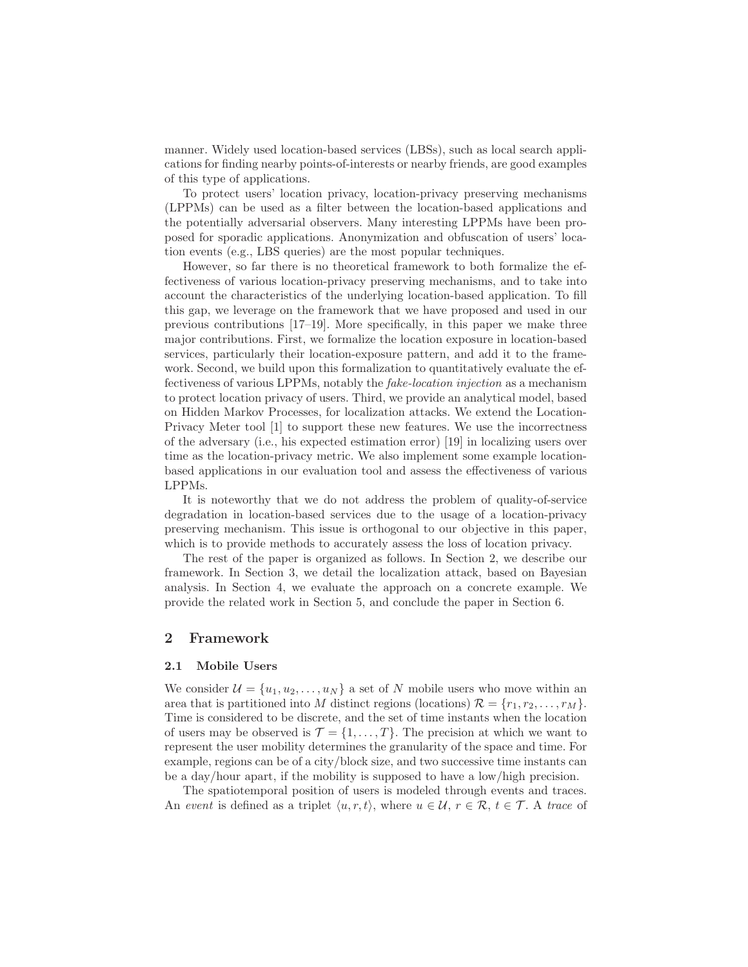manner. Widely used location-based services (LBSs), such as local search applications for finding nearby points-of-interests or nearby friends, are good examples of this type of applications.

To protect users' location privacy, location-privacy preserving mechanisms (LPPMs) can be used as a filter between the location-based applications and the potentially adversarial observers. Many interesting LPPMs have been proposed for sporadic applications. Anonymization and obfuscation of users' location events (e.g., LBS queries) are the most popular techniques.

However, so far there is no theoretical framework to both formalize the effectiveness of various location-privacy preserving mechanisms, and to take into account the characteristics of the underlying location-based application. To fill this gap, we leverage on the framework that we have proposed and used in our previous contributions [17–19]. More specifically, in this paper we make three major contributions. First, we formalize the location exposure in location-based services, particularly their location-exposure pattern, and add it to the framework. Second, we build upon this formalization to quantitatively evaluate the effectiveness of various LPPMs, notably the fake-location injection as a mechanism to protect location privacy of users. Third, we provide an analytical model, based on Hidden Markov Processes, for localization attacks. We extend the Location-Privacy Meter tool [1] to support these new features. We use the incorrectness of the adversary (i.e., his expected estimation error) [19] in localizing users over time as the location-privacy metric. We also implement some example locationbased applications in our evaluation tool and assess the effectiveness of various LPPMs.

It is noteworthy that we do not address the problem of quality-of-service degradation in location-based services due to the usage of a location-privacy preserving mechanism. This issue is orthogonal to our objective in this paper, which is to provide methods to accurately assess the loss of location privacy.

The rest of the paper is organized as follows. In Section 2, we describe our framework. In Section 3, we detail the localization attack, based on Bayesian analysis. In Section 4, we evaluate the approach on a concrete example. We provide the related work in Section 5, and conclude the paper in Section 6.

## 2 Framework

#### 2.1 Mobile Users

We consider  $\mathcal{U} = \{u_1, u_2, \dots, u_N\}$  a set of N mobile users who move within an area that is partitioned into M distinct regions (locations)  $\mathcal{R} = \{r_1, r_2, \ldots, r_M\}.$ Time is considered to be discrete, and the set of time instants when the location of users may be observed is  $\mathcal{T} = \{1, \ldots, T\}$ . The precision at which we want to represent the user mobility determines the granularity of the space and time. For example, regions can be of a city/block size, and two successive time instants can be a day/hour apart, if the mobility is supposed to have a low/high precision.

The spatiotemporal position of users is modeled through events and traces. An event is defined as a triplet  $\langle u, r, t \rangle$ , where  $u \in \mathcal{U}$ ,  $r \in \mathcal{R}$ ,  $t \in \mathcal{T}$ . A trace of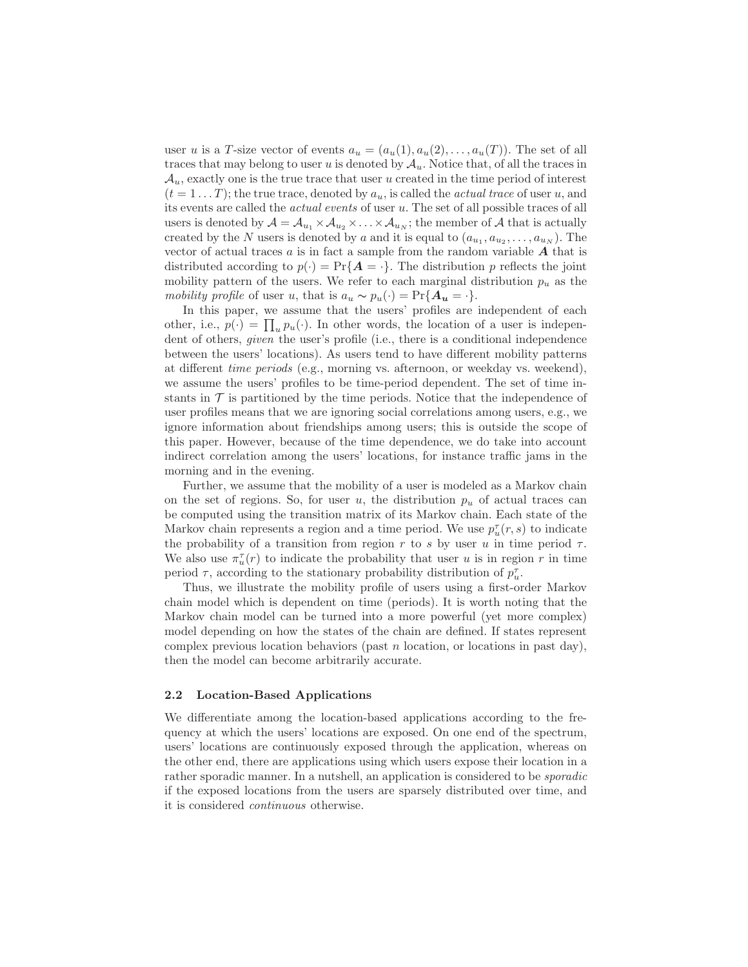user u is a T-size vector of events  $a_u = (a_u(1), a_u(2), \ldots, a_u(T))$ . The set of all traces that may belong to user u is denoted by  $\mathcal{A}_u$ . Notice that, of all the traces in  $\mathcal{A}_u$ , exactly one is the true trace that user u created in the time period of interest  $(t = 1...T)$ ; the true trace, denoted by  $a_u$ , is called the *actual trace* of user u, and its events are called the actual events of user u. The set of all possible traces of all users is denoted by  $A = A_{u_1} \times A_{u_2} \times \ldots \times A_{u_N}$ ; the member of A that is actually created by the N users is denoted by a and it is equal to  $(a_{u_1}, a_{u_2}, \ldots, a_{u_N})$ . The vector of actual traces  $a$  is in fact a sample from the random variable  $A$  that is distributed according to  $p(\cdot) = \Pr{A = \cdot}$ . The distribution p reflects the joint mobility pattern of the users. We refer to each marginal distribution  $p_u$  as the mobility profile of user u, that is  $a_u \sim p_u(\cdot) = \Pr\{A_u = \cdot\}.$ 

In this paper, we assume that the users' profiles are independent of each other, i.e.,  $p(\cdot) = \prod_u p_u(\cdot)$ . In other words, the location of a user is independent of others, *given* the user's profile (i.e., there is a conditional independence between the users' locations). As users tend to have different mobility patterns at different time periods (e.g., morning vs. afternoon, or weekday vs. weekend), we assume the users' profiles to be time-period dependent. The set of time instants in  $\mathcal T$  is partitioned by the time periods. Notice that the independence of user profiles means that we are ignoring social correlations among users, e.g., we ignore information about friendships among users; this is outside the scope of this paper. However, because of the time dependence, we do take into account indirect correlation among the users' locations, for instance traffic jams in the morning and in the evening.

Further, we assume that the mobility of a user is modeled as a Markov chain on the set of regions. So, for user u, the distribution  $p_u$  of actual traces can be computed using the transition matrix of its Markov chain. Each state of the Markov chain represents a region and a time period. We use  $p_u^{\tau}(r, s)$  to indicate the probability of a transition from region r to s by user u in time period  $\tau$ . We also use  $\pi_u^{\tau}(r)$  to indicate the probability that user u is in region r in time period  $\tau$ , according to the stationary probability distribution of  $p_u^{\tau}$ .

Thus, we illustrate the mobility profile of users using a first-order Markov chain model which is dependent on time (periods). It is worth noting that the Markov chain model can be turned into a more powerful (yet more complex) model depending on how the states of the chain are defined. If states represent complex previous location behaviors (past  $n$  location, or locations in past day), then the model can become arbitrarily accurate.

#### 2.2 Location-Based Applications

We differentiate among the location-based applications according to the frequency at which the users' locations are exposed. On one end of the spectrum, users' locations are continuously exposed through the application, whereas on the other end, there are applications using which users expose their location in a rather sporadic manner. In a nutshell, an application is considered to be sporadic if the exposed locations from the users are sparsely distributed over time, and it is considered continuous otherwise.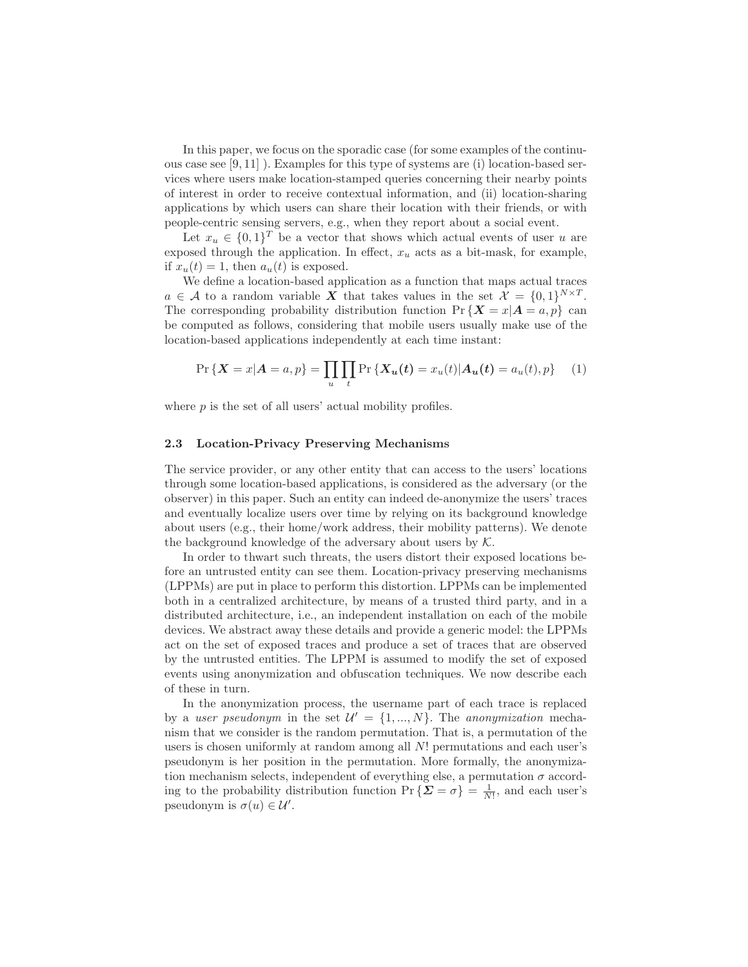In this paper, we focus on the sporadic case (for some examples of the continuous case see [9, 11] ). Examples for this type of systems are (i) location-based services where users make location-stamped queries concerning their nearby points of interest in order to receive contextual information, and (ii) location-sharing applications by which users can share their location with their friends, or with people-centric sensing servers, e.g., when they report about a social event.

Let  $x_u \in \{0,1\}^T$  be a vector that shows which actual events of user u are exposed through the application. In effect,  $x_u$  acts as a bit-mask, for example, if  $x_u(t) = 1$ , then  $a_u(t)$  is exposed.

We define a location-based application as a function that maps actual traces  $a \in \mathcal{A}$  to a random variable X that takes values in the set  $\mathcal{X} = \{0, 1\}^{N \times T}$ . The corresponding probability distribution function  $\Pr\{X=x|A=a,p\}$  can be computed as follows, considering that mobile users usually make use of the location-based applications independently at each time instant:

$$
\Pr\left\{X = x | A = a, p\right\} = \prod_{u} \prod_{t} \Pr\left\{X_u(t) = x_u(t) | A_u(t) = a_u(t), p\right\} \tag{1}
$$

where  $p$  is the set of all users' actual mobility profiles.

#### 2.3 Location-Privacy Preserving Mechanisms

The service provider, or any other entity that can access to the users' locations through some location-based applications, is considered as the adversary (or the observer) in this paper. Such an entity can indeed de-anonymize the users' traces and eventually localize users over time by relying on its background knowledge about users (e.g., their home/work address, their mobility patterns). We denote the background knowledge of the adversary about users by  $K$ .

In order to thwart such threats, the users distort their exposed locations before an untrusted entity can see them. Location-privacy preserving mechanisms (LPPMs) are put in place to perform this distortion. LPPMs can be implemented both in a centralized architecture, by means of a trusted third party, and in a distributed architecture, i.e., an independent installation on each of the mobile devices. We abstract away these details and provide a generic model: the LPPMs act on the set of exposed traces and produce a set of traces that are observed by the untrusted entities. The LPPM is assumed to modify the set of exposed events using anonymization and obfuscation techniques. We now describe each of these in turn.

In the anonymization process, the username part of each trace is replaced by a user pseudonym in the set  $\mathcal{U}' = \{1, ..., N\}$ . The anonymization mechanism that we consider is the random permutation. That is, a permutation of the users is chosen uniformly at random among all  $N!$  permutations and each user's pseudonym is her position in the permutation. More formally, the anonymization mechanism selects, independent of everything else, a permutation  $\sigma$  according to the probability distribution function  $\Pr\{\mathbf{\Sigma} = \sigma\} = \frac{1}{N!}$ , and each user's pseudonym is  $\sigma(u) \in \mathcal{U}'$ .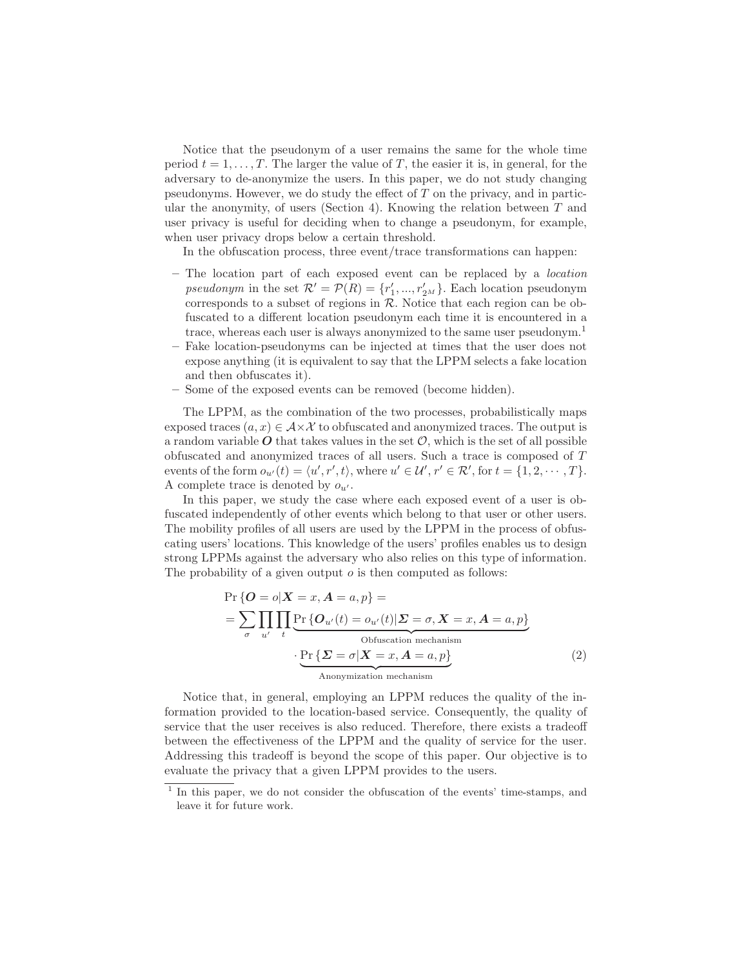Notice that the pseudonym of a user remains the same for the whole time period  $t = 1, \ldots, T$ . The larger the value of T, the easier it is, in general, for the adversary to de-anonymize the users. In this paper, we do not study changing pseudonyms. However, we do study the effect of  $T$  on the privacy, and in particular the anonymity, of users (Section 4). Knowing the relation between  $T$  and user privacy is useful for deciding when to change a pseudonym, for example, when user privacy drops below a certain threshold.

In the obfuscation process, three event/trace transformations can happen:

- The location part of each exposed event can be replaced by a location pseudonym in the set  $\mathcal{R}' = \mathcal{P}(R) = \{r'_1, ..., r'_{2^M}\}$ . Each location pseudonym corresponds to a subset of regions in  $R$ . Notice that each region can be obfuscated to a different location pseudonym each time it is encountered in a trace, whereas each user is always anonymized to the same user pseudonym.<sup>1</sup>
- Fake location-pseudonyms can be injected at times that the user does not expose anything (it is equivalent to say that the LPPM selects a fake location and then obfuscates it).
- Some of the exposed events can be removed (become hidden).

The LPPM, as the combination of the two processes, probabilistically maps exposed traces  $(a, x) \in \mathcal{A} \times \mathcal{X}$  to obfuscated and anonymized traces. The output is a random variable  $\bm{O}$  that takes values in the set  $\bm{O}$ , which is the set of all possible obfuscated and anonymized traces of all users. Such a trace is composed of T events of the form  $o_{u'}(t) = \langle u', r', t \rangle$ , where  $u' \in \mathcal{U}', r' \in \mathcal{R}'$ , for  $t = \{1, 2, \cdots, T\}$ . A complete trace is denoted by  $o_{u'}$ .

In this paper, we study the case where each exposed event of a user is obfuscated independently of other events which belong to that user or other users. The mobility profiles of all users are used by the LPPM in the process of obfuscating users' locations. This knowledge of the users' profiles enables us to design strong LPPMs against the adversary who also relies on this type of information. The probability of a given output  $\sigma$  is then computed as follows:

$$
\Pr\{O = o|X = x, A = a, p\} = \newline = \sum_{\sigma} \prod_{u'} \prod_{t} \Pr\{O_{u'}(t) = o_{u'}(t)|\mathbf{\Sigma} = \sigma, \mathbf{X} = x, \mathbf{A} = a, p\} \newline \cdot \underbrace{\Pr\{\mathbf{\Sigma} = \sigma | \mathbf{X} = x, \mathbf{A} = a, p\}}_{\text{Anonymousmization mechanism}} \tag{2}
$$

Notice that, in general, employing an LPPM reduces the quality of the information provided to the location-based service. Consequently, the quality of service that the user receives is also reduced. Therefore, there exists a tradeoff between the effectiveness of the LPPM and the quality of service for the user. Addressing this tradeoff is beyond the scope of this paper. Our objective is to evaluate the privacy that a given LPPM provides to the users.

<sup>&</sup>lt;sup>1</sup> In this paper, we do not consider the obfuscation of the events' time-stamps, and leave it for future work.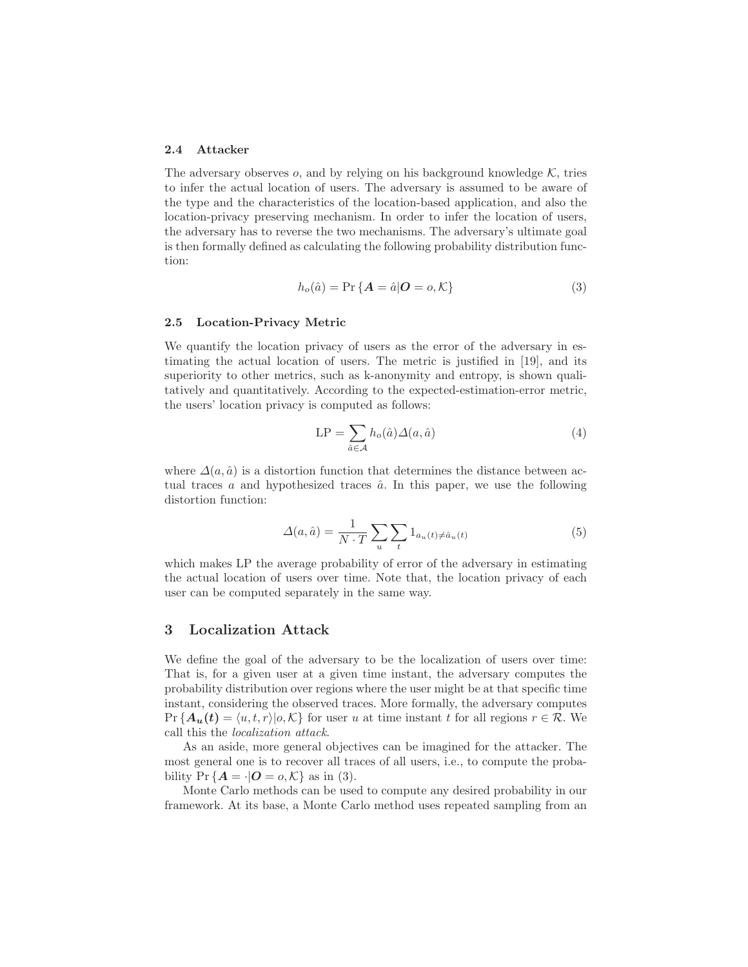#### 2.4 Attacker

The adversary observes  $o$ , and by relying on his background knowledge  $K$ , tries to infer the actual location of users. The adversary is assumed to be aware of the type and the characteristics of the location-based application, and also the location-privacy preserving mechanism. In order to infer the location of users, the adversary has to reverse the two mechanisms. The adversary's ultimate goal is then formally defined as calculating the following probability distribution function:

$$
h_o(\hat{a}) = \Pr\left\{A = \hat{a} | \mathbf{O} = o, \mathcal{K}\right\} \tag{3}
$$

#### 2.5 Location-Privacy Metric

We quantify the location privacy of users as the error of the adversary in estimating the actual location of users. The metric is justified in [19], and its superiority to other metrics, such as k-anonymity and entropy, is shown qualitatively and quantitatively. According to the expected-estimation-error metric, the users' location privacy is computed as follows:

$$
LP = \sum_{\hat{a} \in \mathcal{A}} h_o(\hat{a}) \Delta(a, \hat{a}) \tag{4}
$$

where  $\Delta(a, \hat{a})$  is a distortion function that determines the distance between actual traces  $a$  and hypothesized traces  $\hat{a}$ . In this paper, we use the following distortion function:

$$
\Delta(a,\hat{a}) = \frac{1}{N \cdot T} \sum_{u} \sum_{t} 1_{a_u(t) \neq \hat{a}_u(t)} \tag{5}
$$

which makes LP the average probability of error of the adversary in estimating the actual location of users over time. Note that, the location privacy of each user can be computed separately in the same way.

### 3 Localization Attack

We define the goal of the adversary to be the localization of users over time: That is, for a given user at a given time instant, the adversary computes the probability distribution over regions where the user might be at that specific time instant, considering the observed traces. More formally, the adversary computes  $Pr\{A_u(t) = \langle u, t, r \rangle | o, \mathcal{K}\}\$ for user u at time instant t for all regions  $r \in \mathcal{R}$ . We call this the localization attack.

As an aside, more general objectives can be imagined for the attacker. The most general one is to recover all traces of all users, i.e., to compute the probability  $\Pr\{A = \cdot | O = 0, \mathcal{K}\}\$ as in (3).

Monte Carlo methods can be used to compute any desired probability in our framework. At its base, a Monte Carlo method uses repeated sampling from an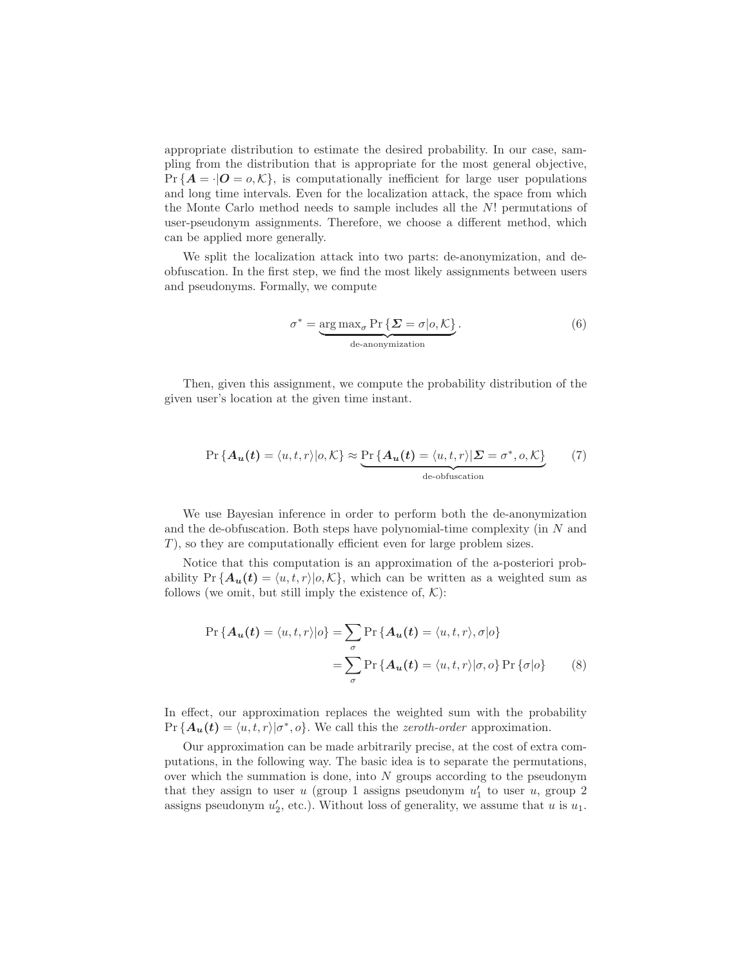appropriate distribution to estimate the desired probability. In our case, sampling from the distribution that is appropriate for the most general objective,  $Pr\{A = |O = o, K\}$ , is computationally inefficient for large user populations and long time intervals. Even for the localization attack, the space from which the Monte Carlo method needs to sample includes all the N! permutations of user-pseudonym assignments. Therefore, we choose a different method, which can be applied more generally.

We split the localization attack into two parts: de-anonymization, and deobfuscation. In the first step, we find the most likely assignments between users and pseudonyms. Formally, we compute

$$
\sigma^* = \underbrace{\arg \max_{\sigma} \Pr \{ \Sigma = \sigma | o, \mathcal{K} \}}_{\text{de-anonymization}}.
$$
 (6)

Then, given this assignment, we compute the probability distribution of the given user's location at the given time instant.

$$
\Pr\left\{\mathbf{A}_{\mathbf{u}}(t) = \langle u, t, r \rangle | o, \mathcal{K}\right\} \approx \underbrace{\Pr\left\{\mathbf{A}_{\mathbf{u}}(t) = \langle u, t, r \rangle | \mathbf{\Sigma} = \sigma^*, o, \mathcal{K}\right\}}_{\text{de-objuscation}} \tag{7}
$$

We use Bayesian inference in order to perform both the de-anonymization and the de-obfuscation. Both steps have polynomial-time complexity (in N and T), so they are computationally efficient even for large problem sizes.

Notice that this computation is an approximation of the a-posteriori probability  $Pr\{A_u(t) = \langle u, t, r \rangle | o, \mathcal{K}\}\$ , which can be written as a weighted sum as follows (we omit, but still imply the existence of,  $K$ ):

$$
\Pr\{A_{u}(t) = \langle u, t, r \rangle | o\} = \sum_{\sigma} \Pr\{A_{u}(t) = \langle u, t, r \rangle, \sigma | o\}
$$

$$
= \sum_{\sigma} \Pr\{A_{u}(t) = \langle u, t, r \rangle | \sigma, o\} \Pr\{\sigma | o\} \tag{8}
$$

In effect, our approximation replaces the weighted sum with the probability  $\Pr\{A_u(t) = \langle u, t, r \rangle | \sigma^*, o\}.$  We call this the *zeroth-order* approximation.

Our approximation can be made arbitrarily precise, at the cost of extra computations, in the following way. The basic idea is to separate the permutations, over which the summation is done, into  $N$  groups according to the pseudonym that they assign to user  $u$  (group 1 assigns pseudonym  $u'_1$  to user  $u$ , group 2 assigns pseudonym  $u'_2$ , etc.). Without loss of generality, we assume that u is  $u_1$ .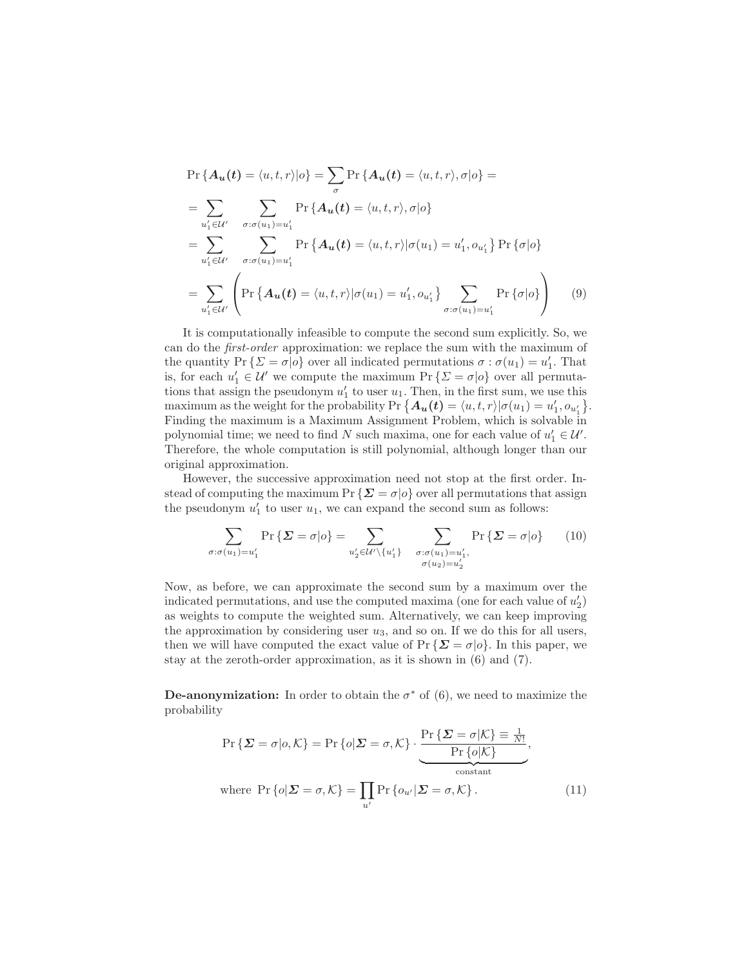$$
\Pr\left\{A_{u}(t) = \langle u, t, r\rangle | o\right\} = \sum_{\sigma} \Pr\left\{A_{u}(t) = \langle u, t, r\rangle, \sigma | o\right\} =
$$
\n
$$
= \sum_{u'_{1} \in \mathcal{U}'} \sum_{\sigma : \sigma(u_{1}) = u'_{1}} \Pr\left\{A_{u}(t) = \langle u, t, r\rangle, \sigma | o\right\}
$$
\n
$$
= \sum_{u'_{1} \in \mathcal{U}'} \sum_{\sigma : \sigma(u_{1}) = u'_{1}} \Pr\left\{A_{u}(t) = \langle u, t, r\rangle | \sigma(u_{1}) = u'_{1}, o_{u'_{1}}\right\} \Pr\left\{\sigma | o\right\}
$$
\n
$$
= \sum_{u'_{1} \in \mathcal{U}'} \left(\Pr\left\{A_{u}(t) = \langle u, t, r\rangle | \sigma(u_{1}) = u'_{1}, o_{u'_{1}}\right\} \sum_{\sigma : \sigma(u_{1}) = u'_{1}} \Pr\left\{\sigma | o\right\}\right) \tag{9}
$$

It is computationally infeasible to compute the second sum explicitly. So, we can do the first-order approximation: we replace the sum with the maximum of the quantity Pr  $\{\Sigma = \sigma | o\}$  over all indicated permutations  $\sigma : \sigma(u_1) = u'_1$ . That is, for each  $u'_1 \in \mathcal{U}'$  we compute the maximum  $\Pr \{ \Sigma = \sigma | o \}$  over all permutations that assign the pseudonym  $u'_1$  to user  $u_1$ . Then, in the first sum, we use this maximum as the weight for the probability  $Pr\left\{A_{u}(t) = \langle u, t, r \rangle | \sigma(u_1) = u'_1, o_{u'_1}\right\}$ . Finding the maximum is a Maximum Assignment Problem, which is solvable in polynomial time; we need to find N such maxima, one for each value of  $u'_1 \in \mathcal{U}'$ . Therefore, the whole computation is still polynomial, although longer than our original approximation.

However, the successive approximation need not stop at the first order. Instead of computing the maximum Pr  $\{\Sigma = \sigma | o\}$  over all permutations that assign the pseudonym  $u'_1$  to user  $u_1$ , we can expand the second sum as follows:

$$
\sum_{\sigma:\sigma(u_1)=u'_1} \Pr\left\{ \Sigma = \sigma | o \right\} = \sum_{u'_2 \in \mathcal{U}' \setminus \{u'_1\}} \sum_{\substack{\sigma:\sigma(u_1)=u'_1, \\ \sigma(u_2)=u'_2}} \Pr\left\{ \Sigma = \sigma | o \right\} \tag{10}
$$

Now, as before, we can approximate the second sum by a maximum over the indicated permutations, and use the computed maxima (one for each value of  $u_2'$ ) as weights to compute the weighted sum. Alternatively, we can keep improving the approximation by considering user  $u_3$ , and so on. If we do this for all users, then we will have computed the exact value of  $\Pr \{\mathbf{\Sigma} = \sigma | o\}$ . In this paper, we stay at the zeroth-order approximation, as it is shown in (6) and (7).

**De-anonymization:** In order to obtain the  $\sigma^*$  of  $(6)$ , we need to maximize the probability

$$
\Pr\{\Sigma = \sigma | o, \mathcal{K}\} = \Pr\{o | \Sigma = \sigma, \mathcal{K}\} \cdot \underbrace{\frac{\Pr\{\Sigma = \sigma | \mathcal{K}\} \equiv \frac{1}{N!}}{\Pr\{o | \mathcal{K}\}}}_{\text{constant}},
$$
\nwhere 
$$
\Pr\{o | \Sigma = \sigma, \mathcal{K}\} = \prod_{u'} \Pr\{o_{u'} | \Sigma = \sigma, \mathcal{K}\}.
$$
\n(11)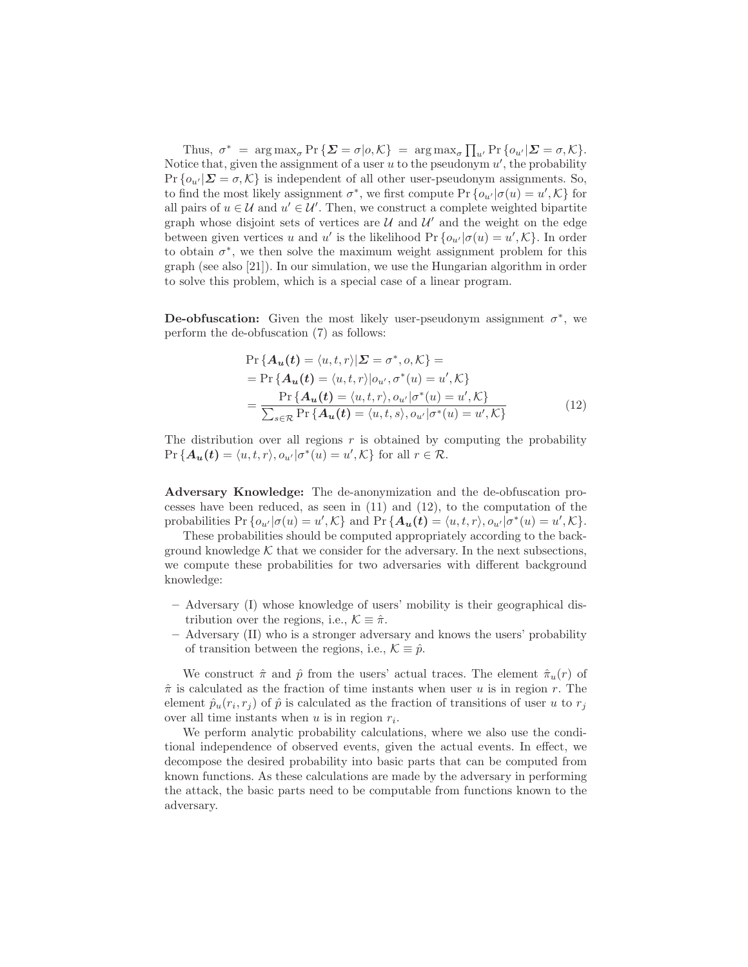Thus,  $\sigma^* = \arg \max_{\sigma} \Pr \{ \mathbf{\Sigma} = \sigma | o, \mathcal{K} \} = \arg \max_{\sigma} \prod_{u'} \Pr \{ o_{u'} | \mathbf{\Sigma} = \sigma, \mathcal{K} \}.$ Notice that, given the assignment of a user  $u$  to the pseudonym  $u'$ , the probability  $Pr\{\sigma_{u'}|\mathbf{\Sigma}=\sigma,\mathcal{K}\}\$ is independent of all other user-pseudonym assignments. So, to find the most likely assignment  $\sigma^*$ , we first compute Pr  $\{o_{u'}|\sigma(u) = u',\mathcal{K}\}\)$  for all pairs of  $u \in \mathcal{U}$  and  $u' \in \mathcal{U}'$ . Then, we construct a complete weighted bipartite graph whose disjoint sets of vertices are  $\mathcal U$  and  $\mathcal U'$  and the weight on the edge between given vertices u and u' is the likelihood  $Pr\{o_{u'}|\sigma(u) = u', \mathcal{K}\}\$ . In order to obtain  $\sigma^*$ , we then solve the maximum weight assignment problem for this graph (see also [21]). In our simulation, we use the Hungarian algorithm in order to solve this problem, which is a special case of a linear program.

De-obfuscation: Given the most likely user-pseudonym assignment  $\sigma^*$ , we perform the de-obfuscation (7) as follows:

$$
\Pr\{A_{u}(t) = \langle u, t, r \rangle | \Sigma = \sigma^{*}, o, \mathcal{K}\} =
$$
\n
$$
= \Pr\{A_{u}(t) = \langle u, t, r \rangle | o_{u'}, \sigma^{*}(u) = u', \mathcal{K}\}
$$
\n
$$
= \frac{\Pr\{A_{u}(t) = \langle u, t, r \rangle, o_{u'} | \sigma^{*}(u) = u', \mathcal{K}\}}{\sum_{s \in \mathcal{R}} \Pr\{A_{u}(t) = \langle u, t, s \rangle, o_{u'} | \sigma^{*}(u) = u', \mathcal{K}\}}
$$
\n(12)

The distribution over all regions  $r$  is obtained by computing the probability  $Pr\{A_{u}(t) = \langle u, t, r \rangle, o_{u'} | \sigma^{*}(u) = u', \mathcal{K}\}\$ for all  $r \in \mathcal{R}$ .

Adversary Knowledge: The de-anonymization and the de-obfuscation processes have been reduced, as seen in (11) and (12), to the computation of the probabilities  $Pr\{\mathit{o}_{u'}|\sigma(u) = u',\mathcal{K}\}\$ and  $Pr\{\mathcal{A}_{u}(t) = \langle u, t, r \rangle, \mathit{o}_{u'}|\sigma^*(u) = u',\mathcal{K}\}\$ .

These probabilities should be computed appropriately according to the background knowledge  $K$  that we consider for the adversary. In the next subsections, we compute these probabilities for two adversaries with different background knowledge:

- Adversary (I) whose knowledge of users' mobility is their geographical distribution over the regions, i.e.,  $\mathcal{K} \equiv \hat{\pi}$ .
- Adversary (II) who is a stronger adversary and knows the users' probability of transition between the regions, i.e.,  $\mathcal{K} \equiv \hat{p}$ .

We construct  $\hat{\pi}$  and  $\hat{p}$  from the users' actual traces. The element  $\hat{\pi}_u(r)$  of  $\hat{\pi}$  is calculated as the fraction of time instants when user u is in region r. The element  $\hat{p}_u(r_i, r_j)$  of  $\hat{p}$  is calculated as the fraction of transitions of user u to  $r_j$ over all time instants when  $u$  is in region  $r_i$ .

We perform analytic probability calculations, where we also use the conditional independence of observed events, given the actual events. In effect, we decompose the desired probability into basic parts that can be computed from known functions. As these calculations are made by the adversary in performing the attack, the basic parts need to be computable from functions known to the adversary.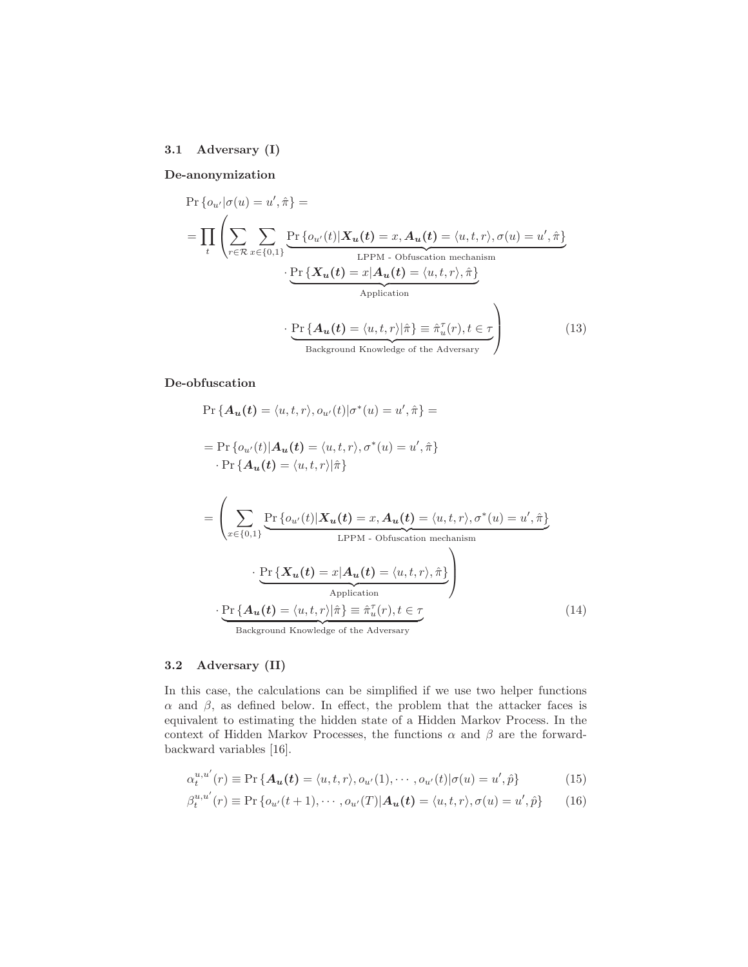## 3.1 Adversary (I)

De-anonymization

$$
\Pr\{o_{u'}|\sigma(u) = u', \hat{\pi}\} =
$$
\n
$$
= \prod_{t} \left( \sum_{r \in \mathcal{R}} \sum_{x \in \{0,1\}} \underbrace{\Pr\{o_{u'}(t) | \mathbf{X}_{u}(t) = x, \mathbf{A}_{u}(t) = \langle u, t, r \rangle, \sigma(u) = u', \hat{\pi}\}}_{\text{LPPM - Obfuscation mechanism}} \cdot \underbrace{\Pr\{\mathbf{X}_{u}(t) = x | \mathbf{A}_{u}(t) = \langle u, t, r \rangle, \hat{\pi}\}}_{\text{Application}} \cdot \underbrace{\Pr\{\mathbf{A}_{u}(t) = \langle u, t, r \rangle | \hat{\pi}\}}_{\text{Background Knowledge of the Adversary}} \tag{13}
$$

## De-obfuscation

Pr {
$$
\mathbf{A}_{u}(t) = \langle u, t, r \rangle, o_{u'}(t) | \sigma^{*}(u) = u', \hat{\pi} \rangle =
$$
  
\n= Pr { $o_{u'}(t) | \mathbf{A}_{u}(t) = \langle u, t, r \rangle, \sigma^{*}(u) = u', \hat{\pi} \rangle$   
\n\cdot Pr { $\mathbf{A}_{u}(t) = \langle u, t, r \rangle | \hat{\pi} \rangle$   
\n= 
$$
\left( \sum_{x \in \{0,1\}} \underbrace{\Pr \{ o_{u'}(t) | \mathbf{X}_{u}(t) = x, \mathbf{A}_{u}(t) = \langle u, t, r \rangle, \sigma^{*}(u) = u', \hat{\pi} \} \right.}{\Pr \{ \mathbf{X}_{u}(t) = x | \mathbf{A}_{u}(t) = \langle u, t, r \rangle, \hat{\pi} \} \right)}
$$
\n
$$
\cdot \underbrace{\Pr \{ \mathbf{X}_{u}(t) = x | \mathbf{A}_{u}(t) = \langle u, t, r \rangle, \hat{\pi} \} \right) \left. \text{Application} \right}
$$
\n(14)

## 3.2 Adversary (II)

In this case, the calculations can be simplified if we use two helper functions α and β, as defined below. In effect, the problem that the attacker faces is equivalent to estimating the hidden state of a Hidden Markov Process. In the context of Hidden Markov Processes, the functions  $\alpha$  and  $\beta$  are the forwardbackward variables [16].

$$
\alpha_t^{u,u'}(r) \equiv \Pr\left\{A_u(t) = \langle u, t, r \rangle, o_{u'}(1), \cdots, o_{u'}(t) | \sigma(u) = u', \hat{p}\right\}
$$
(15)

$$
\beta_t^{u,u'}(r) \equiv \Pr\left\{o_{u'}(t+1),\cdots,o_{u'}(T)|\mathbf{A_u}(t) = \langle u,t,r\rangle,\sigma(u) = u',\hat{p}\right\} \tag{16}
$$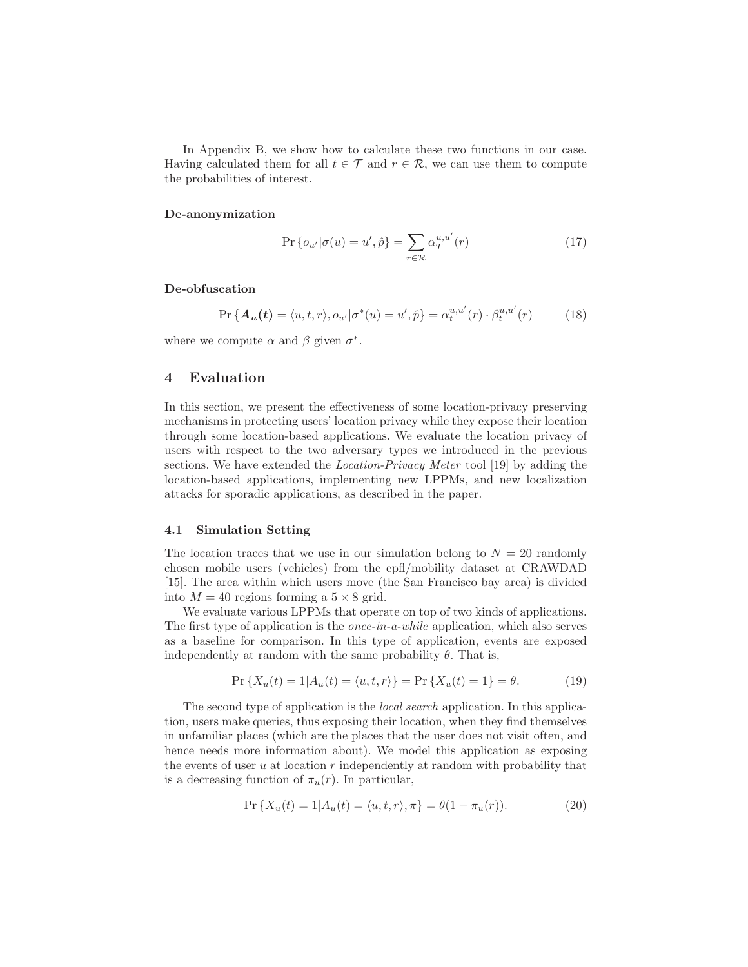In Appendix B, we show how to calculate these two functions in our case. Having calculated them for all  $t \in \mathcal{T}$  and  $r \in \mathcal{R}$ , we can use them to compute the probabilities of interest.

#### De-anonymization

$$
\Pr\left\{o_{u'}|\sigma(u) = u', \hat{p}\right\} = \sum_{r \in \mathcal{R}} \alpha_T^{u, u'}(r) \tag{17}
$$

#### De-obfuscation

$$
\Pr\{A_{u}(t) = \langle u, t, r \rangle, o_{u'} | \sigma^{*}(u) = u', \hat{p}\} = \alpha_{t}^{u, u'}(r) \cdot \beta_{t}^{u, u'}(r) \tag{18}
$$

where we compute  $\alpha$  and  $\beta$  given  $\sigma^*$ .

## 4 Evaluation

In this section, we present the effectiveness of some location-privacy preserving mechanisms in protecting users' location privacy while they expose their location through some location-based applications. We evaluate the location privacy of users with respect to the two adversary types we introduced in the previous sections. We have extended the Location-Privacy Meter tool [19] by adding the location-based applications, implementing new LPPMs, and new localization attacks for sporadic applications, as described in the paper.

#### 4.1 Simulation Setting

The location traces that we use in our simulation belong to  $N = 20$  randomly chosen mobile users (vehicles) from the epfl/mobility dataset at CRAWDAD [15]. The area within which users move (the San Francisco bay area) is divided into  $M = 40$  regions forming a  $5 \times 8$  grid.

We evaluate various LPPMs that operate on top of two kinds of applications. The first type of application is the *once-in-a-while* application, which also serves as a baseline for comparison. In this type of application, events are exposed independently at random with the same probability  $\theta$ . That is,

$$
\Pr\{X_u(t) = 1 | A_u(t) = \langle u, t, r \rangle\} = \Pr\{X_u(t) = 1\} = \theta.
$$
 (19)

The second type of application is the *local search* application. In this application, users make queries, thus exposing their location, when they find themselves in unfamiliar places (which are the places that the user does not visit often, and hence needs more information about). We model this application as exposing the events of user  $u$  at location  $r$  independently at random with probability that is a decreasing function of  $\pi_u(r)$ . In particular,

$$
\Pr\{X_u(t) = 1 | A_u(t) = \langle u, t, r \rangle, \pi\} = \theta(1 - \pi_u(r)).\tag{20}
$$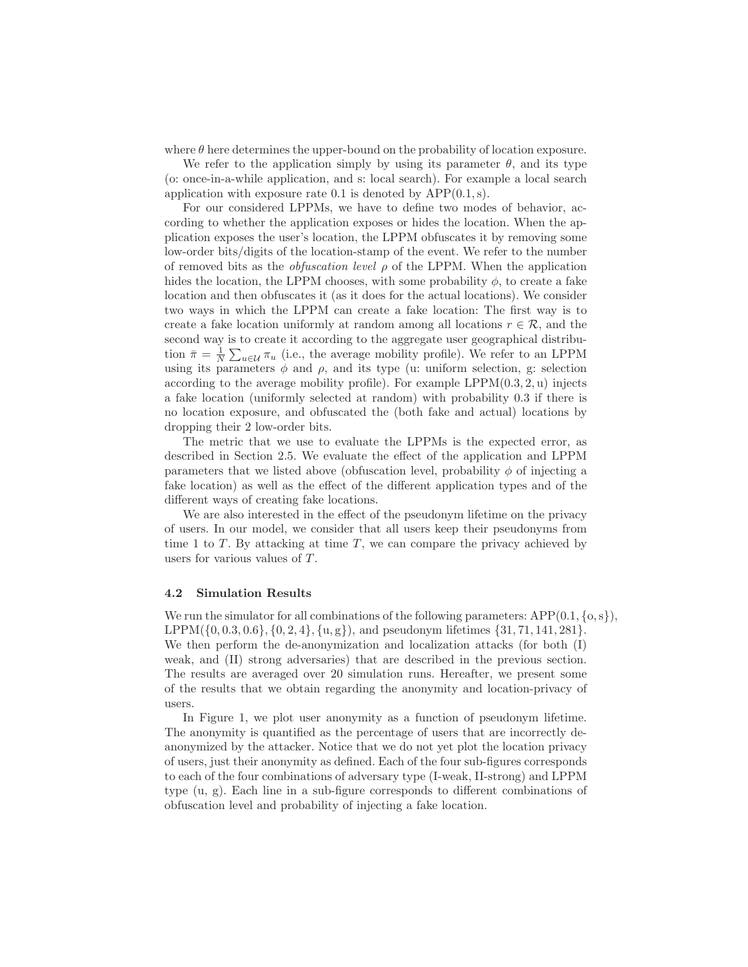where  $\theta$  here determines the upper-bound on the probability of location exposure.

We refer to the application simply by using its parameter  $\theta$ , and its type (o: once-in-a-while application, and s: local search). For example a local search application with exposure rate 0.1 is denoted by  $APP(0.1, s)$ .

For our considered LPPMs, we have to define two modes of behavior, according to whether the application exposes or hides the location. When the application exposes the user's location, the LPPM obfuscates it by removing some low-order bits/digits of the location-stamp of the event. We refer to the number of removed bits as the *obfuscation level*  $\rho$  of the LPPM. When the application hides the location, the LPPM chooses, with some probability  $\phi$ , to create a fake location and then obfuscates it (as it does for the actual locations). We consider two ways in which the LPPM can create a fake location: The first way is to create a fake location uniformly at random among all locations  $r \in \mathcal{R}$ , and the second way is to create it according to the aggregate user geographical distribution  $\bar{\pi} = \frac{1}{N} \sum_{u \in \mathcal{U}} \pi_u$  (i.e., the average mobility profile). We refer to an LPPM using its parameters  $\phi$  and  $\rho$ , and its type (u: uniform selection, g: selection according to the average mobility profile). For example  $\text{LPPM}(0.3, 2, u)$  injects a fake location (uniformly selected at random) with probability 0.3 if there is no location exposure, and obfuscated the (both fake and actual) locations by dropping their 2 low-order bits.

The metric that we use to evaluate the LPPMs is the expected error, as described in Section 2.5. We evaluate the effect of the application and LPPM parameters that we listed above (obfuscation level, probability  $\phi$  of injecting a fake location) as well as the effect of the different application types and of the different ways of creating fake locations.

We are also interested in the effect of the pseudonym lifetime on the privacy of users. In our model, we consider that all users keep their pseudonyms from time 1 to  $T$ . By attacking at time  $T$ , we can compare the privacy achieved by users for various values of T.

#### 4.2 Simulation Results

We run the simulator for all combinations of the following parameters:  $APP(0.1, \{o, s\}),$  $LPPM({0, 0.3, 0.6}, {0, 2, 4}, {u, g})$ , and pseudonym lifetimes  ${31, 71, 141, 281}$ . We then perform the de-anonymization and localization attacks (for both (I) weak, and (II) strong adversaries) that are described in the previous section. The results are averaged over 20 simulation runs. Hereafter, we present some of the results that we obtain regarding the anonymity and location-privacy of users.

In Figure 1, we plot user anonymity as a function of pseudonym lifetime. The anonymity is quantified as the percentage of users that are incorrectly deanonymized by the attacker. Notice that we do not yet plot the location privacy of users, just their anonymity as defined. Each of the four sub-figures corresponds to each of the four combinations of adversary type (I-weak, II-strong) and LPPM type (u, g). Each line in a sub-figure corresponds to different combinations of obfuscation level and probability of injecting a fake location.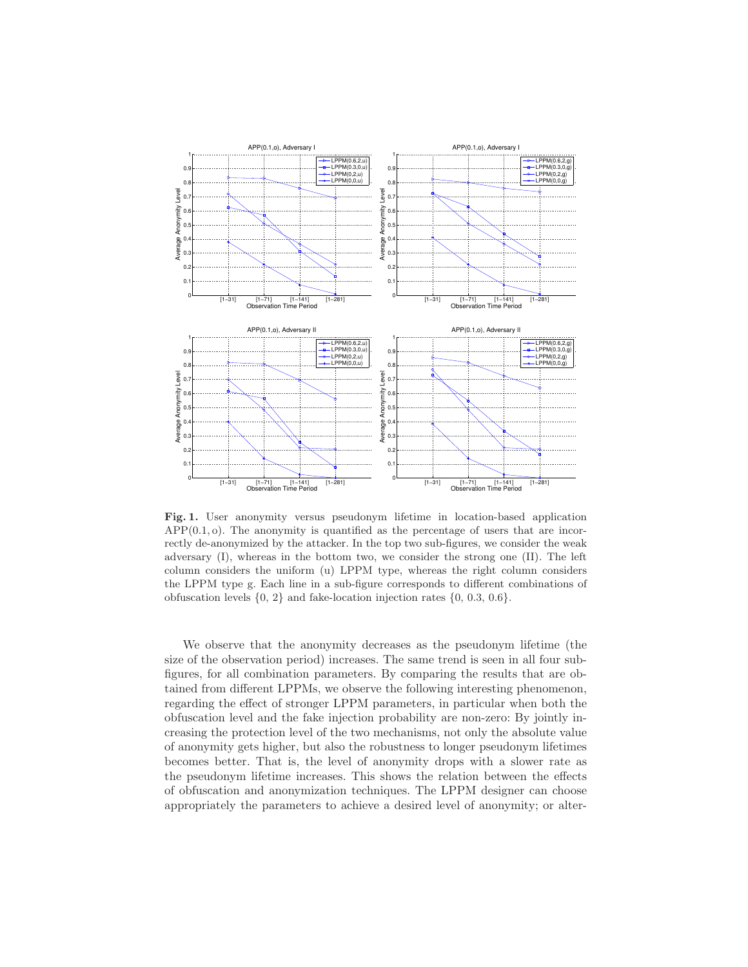

Fig. 1. User anonymity versus pseudonym lifetime in location-based application  $APP(0.1, 0)$ . The anonymity is quantified as the percentage of users that are incorrectly de-anonymized by the attacker. In the top two sub-figures, we consider the weak adversary (I), whereas in the bottom two, we consider the strong one (II). The left column considers the uniform (u) LPPM type, whereas the right column considers the LPPM type g. Each line in a sub-figure corresponds to different combinations of obfuscation levels  $\{0, 2\}$  and fake-location injection rates  $\{0, 0.3, 0.6\}$ .

We observe that the anonymity decreases as the pseudonym lifetime (the size of the observation period) increases. The same trend is seen in all four subfigures, for all combination parameters. By comparing the results that are obtained from different LPPMs, we observe the following interesting phenomenon, regarding the effect of stronger LPPM parameters, in particular when both the obfuscation level and the fake injection probability are non-zero: By jointly increasing the protection level of the two mechanisms, not only the absolute value of anonymity gets higher, but also the robustness to longer pseudonym lifetimes becomes better. That is, the level of anonymity drops with a slower rate as the pseudonym lifetime increases. This shows the relation between the effects of obfuscation and anonymization techniques. The LPPM designer can choose appropriately the parameters to achieve a desired level of anonymity; or alter-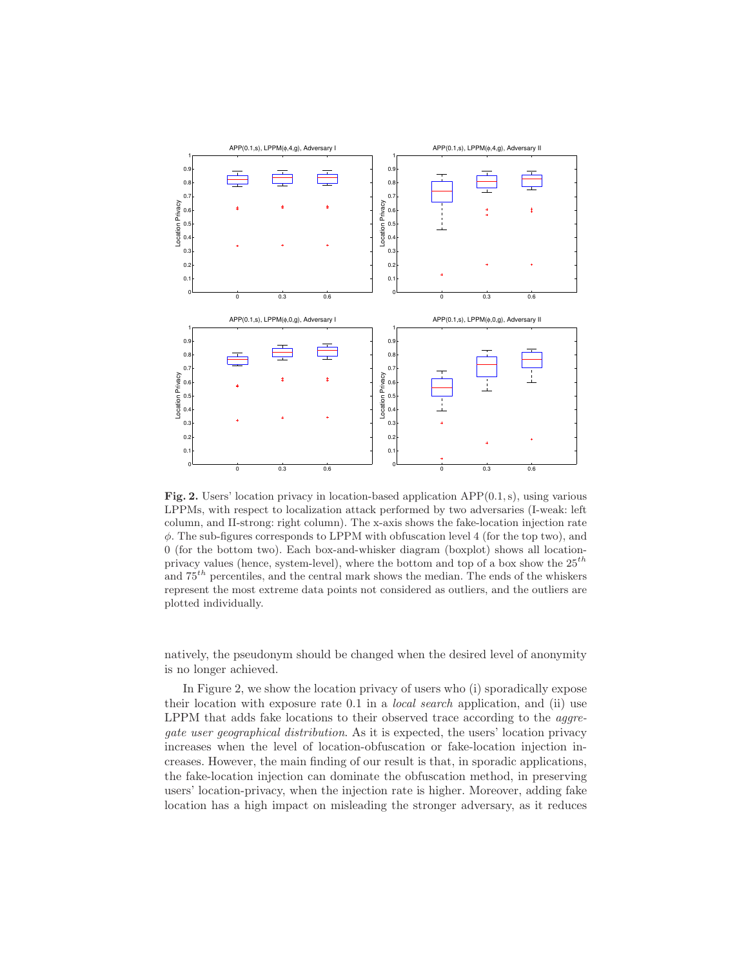

Fig. 2. Users' location privacy in location-based application  $APP(0.1, s)$ , using various LPPMs, with respect to localization attack performed by two adversaries (I-weak: left column, and II-strong: right column). The x-axis shows the fake-location injection rate φ. The sub-figures corresponds to LPPM with obfuscation level 4 (for the top two), and 0 (for the bottom two). Each box-and-whisker diagram (boxplot) shows all locationprivacy values (hence, system-level), where the bottom and top of a box show the  $25^{th}$ and  $75<sup>th</sup>$  percentiles, and the central mark shows the median. The ends of the whiskers represent the most extreme data points not considered as outliers, and the outliers are plotted individually.

natively, the pseudonym should be changed when the desired level of anonymity is no longer achieved.

In Figure 2, we show the location privacy of users who (i) sporadically expose their location with exposure rate 0.1 in a local search application, and (ii) use LPPM that adds fake locations to their observed trace according to the aggregate user geographical distribution. As it is expected, the users' location privacy increases when the level of location-obfuscation or fake-location injection increases. However, the main finding of our result is that, in sporadic applications, the fake-location injection can dominate the obfuscation method, in preserving users' location-privacy, when the injection rate is higher. Moreover, adding fake location has a high impact on misleading the stronger adversary, as it reduces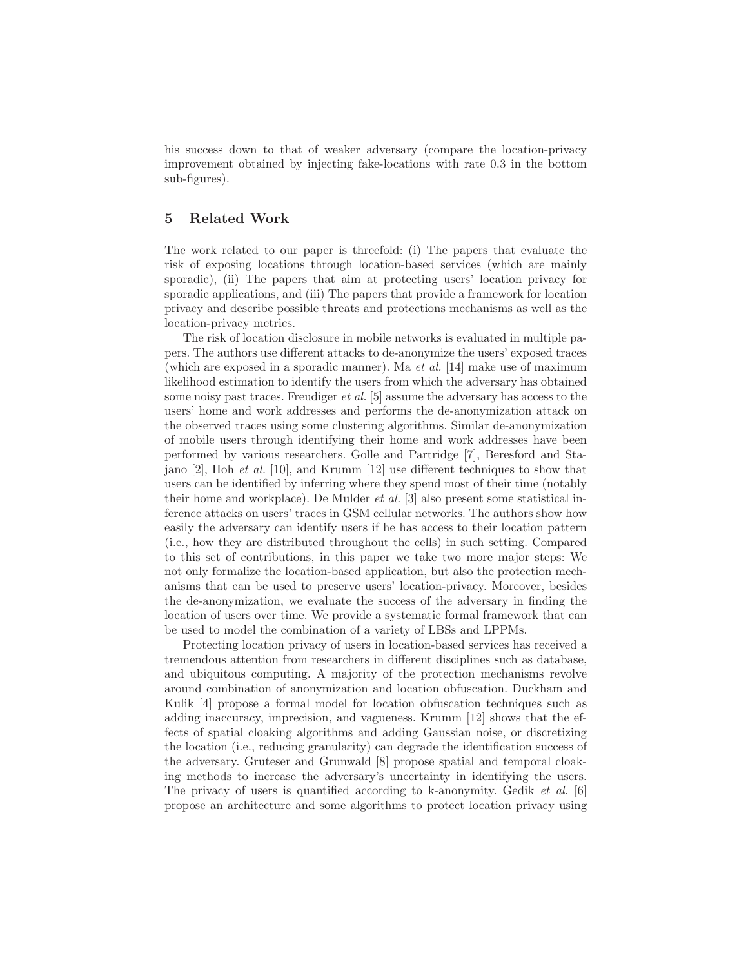his success down to that of weaker adversary (compare the location-privacy improvement obtained by injecting fake-locations with rate 0.3 in the bottom sub-figures).

## 5 Related Work

The work related to our paper is threefold: (i) The papers that evaluate the risk of exposing locations through location-based services (which are mainly sporadic), (ii) The papers that aim at protecting users' location privacy for sporadic applications, and (iii) The papers that provide a framework for location privacy and describe possible threats and protections mechanisms as well as the location-privacy metrics.

The risk of location disclosure in mobile networks is evaluated in multiple papers. The authors use different attacks to de-anonymize the users' exposed traces (which are exposed in a sporadic manner). Ma *et al.* [14] make use of maximum likelihood estimation to identify the users from which the adversary has obtained some noisy past traces. Freudiger et al. [5] assume the adversary has access to the users' home and work addresses and performs the de-anonymization attack on the observed traces using some clustering algorithms. Similar de-anonymization of mobile users through identifying their home and work addresses have been performed by various researchers. Golle and Partridge [7], Beresford and Stajano [2], Hoh et al. [10], and Krumm [12] use different techniques to show that users can be identified by inferring where they spend most of their time (notably their home and workplace). De Mulder et al. [3] also present some statistical inference attacks on users' traces in GSM cellular networks. The authors show how easily the adversary can identify users if he has access to their location pattern (i.e., how they are distributed throughout the cells) in such setting. Compared to this set of contributions, in this paper we take two more major steps: We not only formalize the location-based application, but also the protection mechanisms that can be used to preserve users' location-privacy. Moreover, besides the de-anonymization, we evaluate the success of the adversary in finding the location of users over time. We provide a systematic formal framework that can be used to model the combination of a variety of LBSs and LPPMs.

Protecting location privacy of users in location-based services has received a tremendous attention from researchers in different disciplines such as database, and ubiquitous computing. A majority of the protection mechanisms revolve around combination of anonymization and location obfuscation. Duckham and Kulik [4] propose a formal model for location obfuscation techniques such as adding inaccuracy, imprecision, and vagueness. Krumm [12] shows that the effects of spatial cloaking algorithms and adding Gaussian noise, or discretizing the location (i.e., reducing granularity) can degrade the identification success of the adversary. Gruteser and Grunwald [8] propose spatial and temporal cloaking methods to increase the adversary's uncertainty in identifying the users. The privacy of users is quantified according to k-anonymity. Gedik *et al.* [6] propose an architecture and some algorithms to protect location privacy using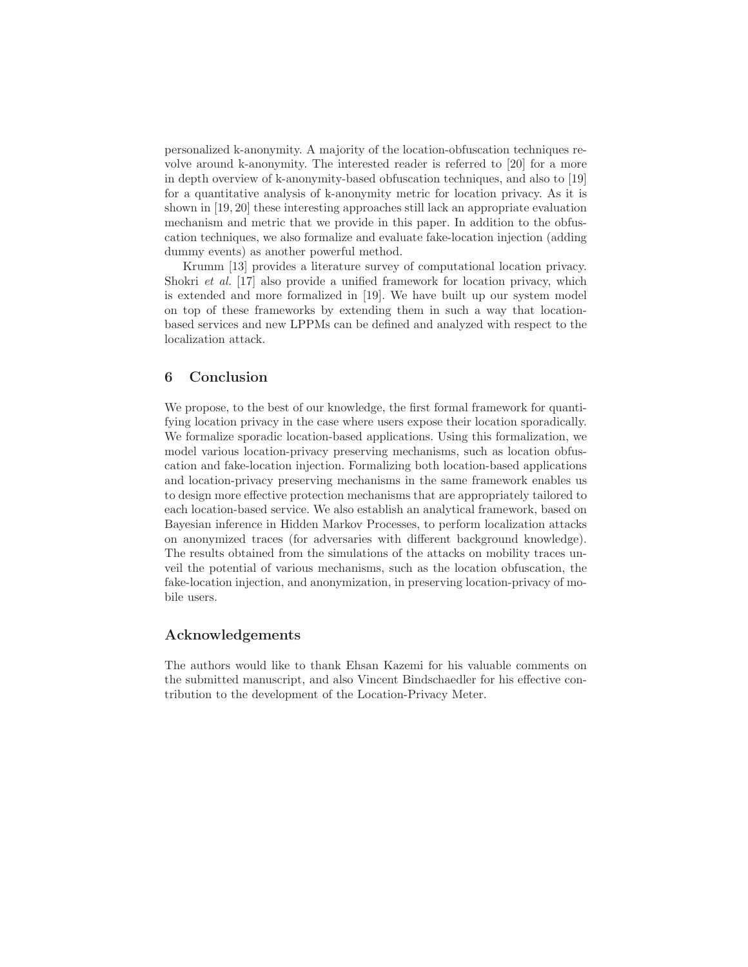personalized k-anonymity. A majority of the location-obfuscation techniques revolve around k-anonymity. The interested reader is referred to [20] for a more in depth overview of k-anonymity-based obfuscation techniques, and also to [19] for a quantitative analysis of k-anonymity metric for location privacy. As it is shown in [19, 20] these interesting approaches still lack an appropriate evaluation mechanism and metric that we provide in this paper. In addition to the obfuscation techniques, we also formalize and evaluate fake-location injection (adding dummy events) as another powerful method.

Krumm [13] provides a literature survey of computational location privacy. Shokri et al. [17] also provide a unified framework for location privacy, which is extended and more formalized in [19]. We have built up our system model on top of these frameworks by extending them in such a way that locationbased services and new LPPMs can be defined and analyzed with respect to the localization attack.

## 6 Conclusion

We propose, to the best of our knowledge, the first formal framework for quantifying location privacy in the case where users expose their location sporadically. We formalize sporadic location-based applications. Using this formalization, we model various location-privacy preserving mechanisms, such as location obfuscation and fake-location injection. Formalizing both location-based applications and location-privacy preserving mechanisms in the same framework enables us to design more effective protection mechanisms that are appropriately tailored to each location-based service. We also establish an analytical framework, based on Bayesian inference in Hidden Markov Processes, to perform localization attacks on anonymized traces (for adversaries with different background knowledge). The results obtained from the simulations of the attacks on mobility traces unveil the potential of various mechanisms, such as the location obfuscation, the fake-location injection, and anonymization, in preserving location-privacy of mobile users.

## Acknowledgements

The authors would like to thank Ehsan Kazemi for his valuable comments on the submitted manuscript, and also Vincent Bindschaedler for his effective contribution to the development of the Location-Privacy Meter.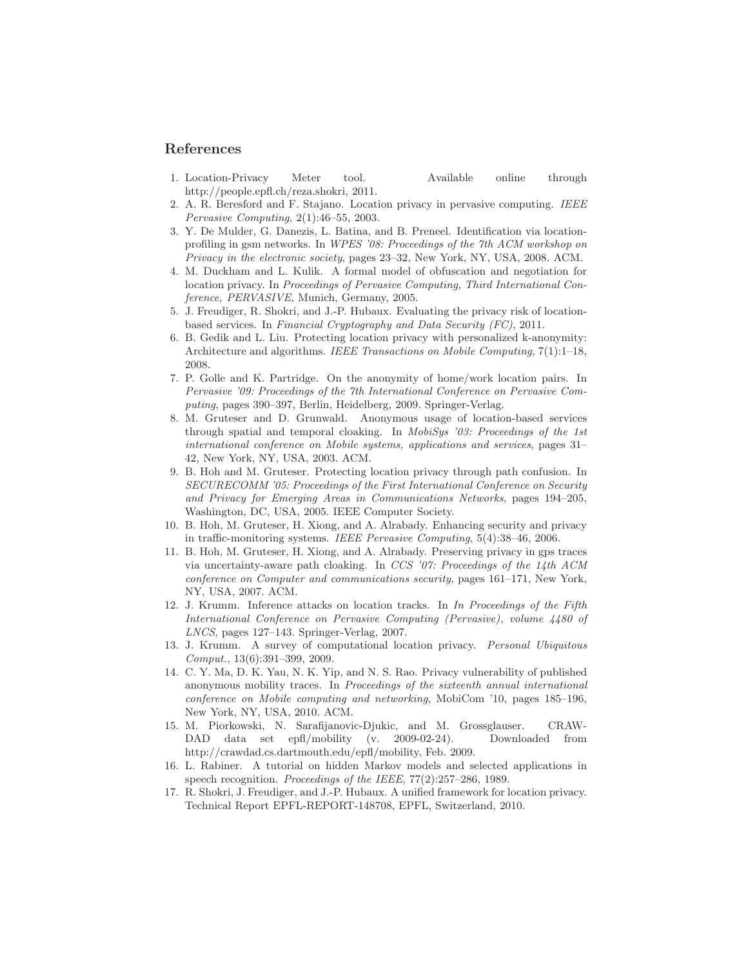## References

- 1. Location-Privacy Meter tool. Available online through http://people.epfl.ch/reza.shokri, 2011.
- 2. A. R. Beresford and F. Stajano. Location privacy in pervasive computing. IEEE Pervasive Computing, 2(1):46–55, 2003.
- 3. Y. De Mulder, G. Danezis, L. Batina, and B. Preneel. Identification via locationprofiling in gsm networks. In WPES '08: Proceedings of the 7th ACM workshop on Privacy in the electronic society, pages 23–32, New York, NY, USA, 2008. ACM.
- 4. M. Duckham and L. Kulik. A formal model of obfuscation and negotiation for location privacy. In Proceedings of Pervasive Computing, Third International Conference, PERVASIVE, Munich, Germany, 2005.
- 5. J. Freudiger, R. Shokri, and J.-P. Hubaux. Evaluating the privacy risk of locationbased services. In Financial Cryptography and Data Security (FC), 2011.
- 6. B. Gedik and L. Liu. Protecting location privacy with personalized k-anonymity: Architecture and algorithms. IEEE Transactions on Mobile Computing, 7(1):1–18, 2008.
- 7. P. Golle and K. Partridge. On the anonymity of home/work location pairs. In Pervasive '09: Proceedings of the 7th International Conference on Pervasive Computing, pages 390–397, Berlin, Heidelberg, 2009. Springer-Verlag.
- 8. M. Gruteser and D. Grunwald. Anonymous usage of location-based services through spatial and temporal cloaking. In *MobiSys '03: Proceedings of the 1st* international conference on Mobile systems, applications and services, pages 31– 42, New York, NY, USA, 2003. ACM.
- 9. B. Hoh and M. Gruteser. Protecting location privacy through path confusion. In SECURECOMM '05: Proceedings of the First International Conference on Security and Privacy for Emerging Areas in Communications Networks, pages 194–205, Washington, DC, USA, 2005. IEEE Computer Society.
- 10. B. Hoh, M. Gruteser, H. Xiong, and A. Alrabady. Enhancing security and privacy in traffic-monitoring systems. IEEE Pervasive Computing, 5(4):38–46, 2006.
- 11. B. Hoh, M. Gruteser, H. Xiong, and A. Alrabady. Preserving privacy in gps traces via uncertainty-aware path cloaking. In CCS '07: Proceedings of the 14th ACM conference on Computer and communications security, pages 161–171, New York, NY, USA, 2007. ACM.
- 12. J. Krumm. Inference attacks on location tracks. In In Proceedings of the Fifth International Conference on Pervasive Computing (Pervasive), volume 4480 of LNCS, pages 127–143. Springer-Verlag, 2007.
- 13. J. Krumm. A survey of computational location privacy. Personal Ubiquitous Comput., 13(6):391–399, 2009.
- 14. C. Y. Ma, D. K. Yau, N. K. Yip, and N. S. Rao. Privacy vulnerability of published anonymous mobility traces. In Proceedings of the sixteenth annual international conference on Mobile computing and networking, MobiCom '10, pages 185–196, New York, NY, USA, 2010. ACM.
- 15. M. Piorkowski, N. Sarafijanovic-Djukic, and M. Grossglauser. CRAW-DAD data set epfl/mobility (v. 2009-02-24). Downloaded from http://crawdad.cs.dartmouth.edu/epfl/mobility, Feb. 2009.
- 16. L. Rabiner. A tutorial on hidden Markov models and selected applications in speech recognition. Proceedings of the IEEE, 77(2):257-286, 1989.
- 17. R. Shokri, J. Freudiger, and J.-P. Hubaux. A unified framework for location privacy. Technical Report EPFL-REPORT-148708, EPFL, Switzerland, 2010.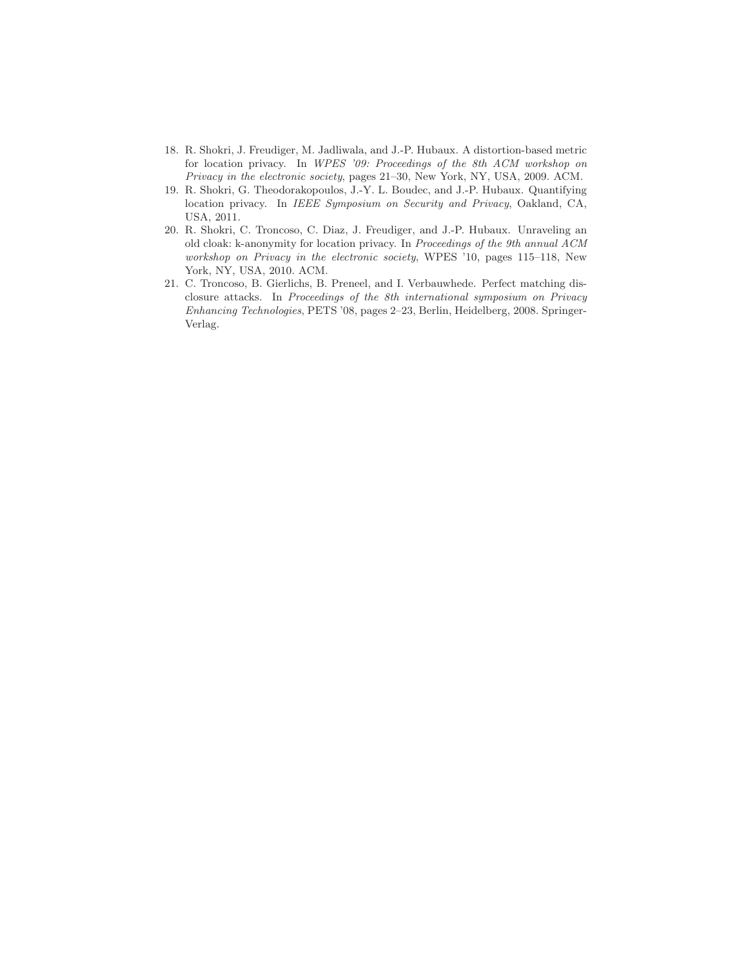- 18. R. Shokri, J. Freudiger, M. Jadliwala, and J.-P. Hubaux. A distortion-based metric for location privacy. In WPES '09: Proceedings of the 8th ACM workshop on Privacy in the electronic society, pages 21–30, New York, NY, USA, 2009. ACM.
- 19. R. Shokri, G. Theodorakopoulos, J.-Y. L. Boudec, and J.-P. Hubaux. Quantifying location privacy. In IEEE Symposium on Security and Privacy, Oakland, CA, USA, 2011.
- 20. R. Shokri, C. Troncoso, C. Diaz, J. Freudiger, and J.-P. Hubaux. Unraveling an old cloak: k-anonymity for location privacy. In Proceedings of the 9th annual ACM workshop on Privacy in the electronic society, WPES '10, pages 115–118, New York, NY, USA, 2010. ACM.
- 21. C. Troncoso, B. Gierlichs, B. Preneel, and I. Verbauwhede. Perfect matching disclosure attacks. In Proceedings of the 8th international symposium on Privacy Enhancing Technologies, PETS '08, pages 2–23, Berlin, Heidelberg, 2008. Springer-Verlag.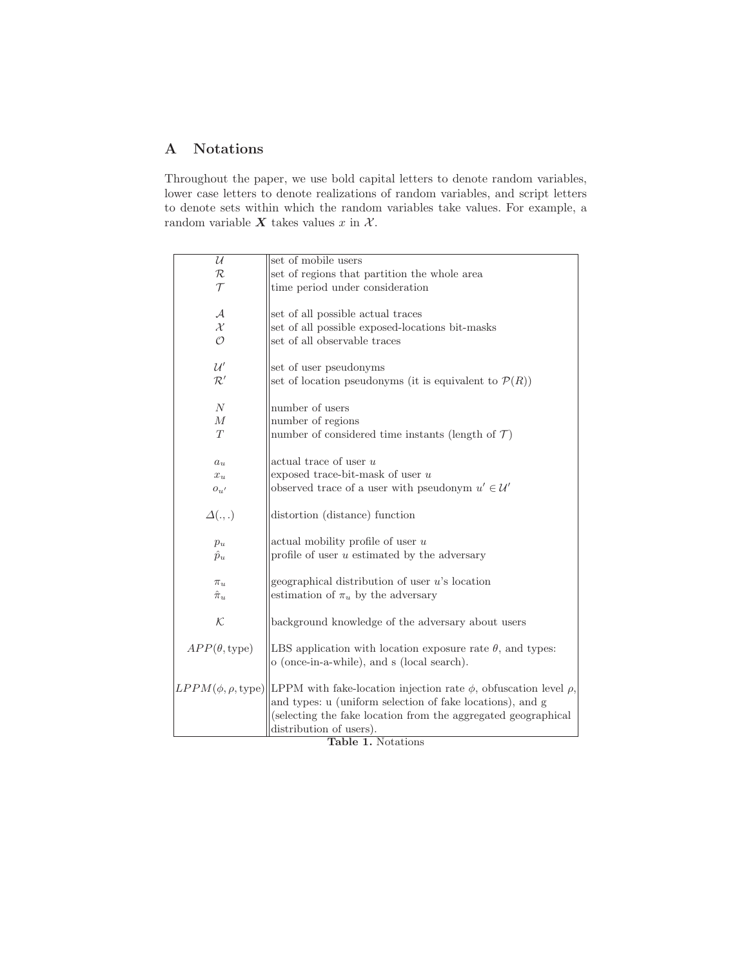## A Notations

Throughout the paper, we use bold capital letters to denote random variables, lower case letters to denote realizations of random variables, and script letters to denote sets within which the random variables take values. For example, a random variable  $X$  takes values  $x$  in  $\mathcal{X}$ .

| $\mathcal{U}$                   | set of mobile users                                                        |
|---------------------------------|----------------------------------------------------------------------------|
| $\mathcal R$                    | set of regions that partition the whole area                               |
| $\mathcal T$                    | time period under consideration                                            |
|                                 |                                                                            |
| $\mathcal A$                    | set of all possible actual traces                                          |
| $\mathcal{X}$                   | set of all possible exposed-locations bit-masks                            |
| $\mathcal{O}$                   | set of all observable traces                                               |
|                                 |                                                                            |
| $\mathcal{U}'$                  | set of user pseudonyms                                                     |
| $\mathcal{R}'$                  | set of location pseudonyms (it is equivalent to $\mathcal{P}(R)$ )         |
|                                 |                                                                            |
| $\boldsymbol{N}$                | number of users                                                            |
| $\boldsymbol{M}$                | number of regions                                                          |
| T                               | number of considered time instants (length of $\mathcal{T}$ )              |
|                                 | actual trace of user $u$                                                   |
| $a_u$                           |                                                                            |
| $x_u$                           | exposed trace-bit-mask of user $u$                                         |
| $O_{u'}$                        | observed trace of a user with pseudonym $u' \in \mathcal{U}'$              |
| $\Delta(.,.)$                   | distortion (distance) function                                             |
|                                 |                                                                            |
| $p_u$                           | actual mobility profile of user $u$                                        |
| $\hat{p}_u$                     | profile of user $u$ estimated by the adversary                             |
|                                 | geographical distribution of user $u$ 's location                          |
| $\pi_u$<br>$\hat{\pi}_u$        | estimation of $\pi_u$ by the adversary                                     |
|                                 |                                                                            |
| $\cal K$                        | background knowledge of the adversary about users                          |
|                                 |                                                                            |
| $APP(\theta, \text{type})$      | LBS application with location exposure rate $\theta$ , and types:          |
|                                 | o (once-in-a-while), and s (local search).                                 |
|                                 |                                                                            |
| $LPPM(\phi, \rho, \text{type})$ | LPPM with fake-location injection rate $\phi$ , obfuscation level $\rho$ , |
|                                 | and types: u (uniform selection of fake locations), and g                  |
|                                 | (selecting the fake location from the aggregated geographical              |
|                                 | distribution of users).                                                    |
| <b>Table 1. Notations</b>       |                                                                            |